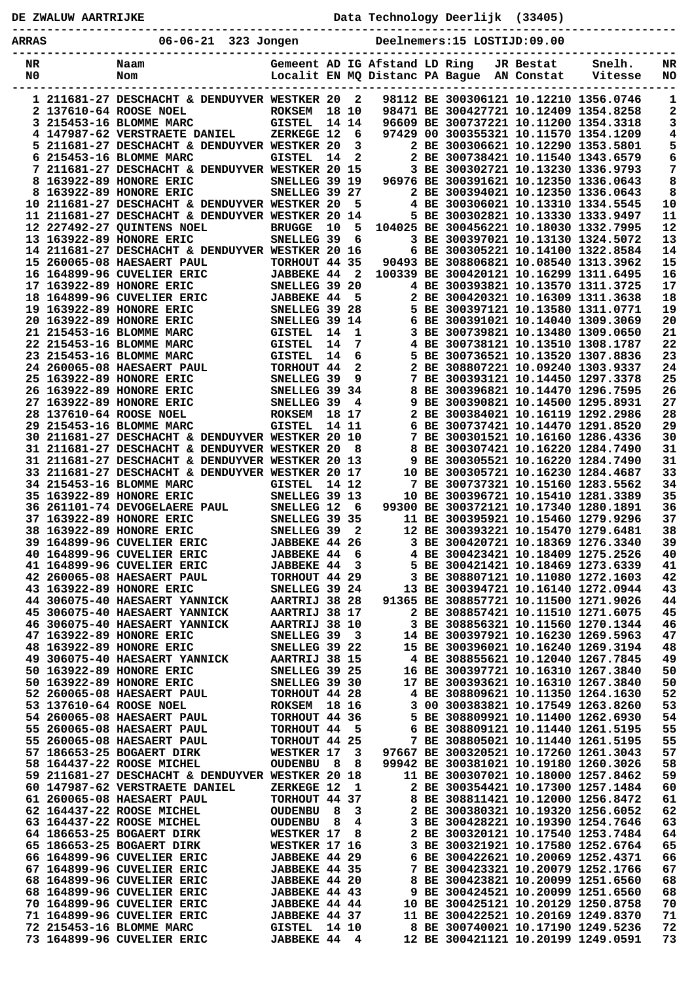|                              | DE ZWALUW AARTRIJKE |                                                                                         |                                       |                             |                                  |                               |  | Data Technology Deerlijk (33405)          |           |                                                                                |            |  |
|------------------------------|---------------------|-----------------------------------------------------------------------------------------|---------------------------------------|-----------------------------|----------------------------------|-------------------------------|--|-------------------------------------------|-----------|--------------------------------------------------------------------------------|------------|--|
| 06-06-21 323 Jongen<br>ARRAS |                     |                                                                                         |                                       | Deelnemers:15 LOSTIJD:09.00 |                                  |                               |  |                                           |           |                                                                                |            |  |
| NR<br>N0.                    |                     | Naam<br>Nom                                                                             |                                       |                             |                                  | Gemeent AD IG Afstand LD Ring |  | Localit EN MQ Distanc PA Bague AN Constat | JR Bestat | Snelh.<br>Vitesse                                                              | NR<br>NO   |  |
|                              |                     | 1 211681-27 DESCHACHT & DENDUYVER WESTKER 20                                            |                                       |                             | $\overline{\mathbf{2}}$<br>18 10 |                               |  |                                           |           | 98112 BE 300306121 10.12210 1356.0746                                          | 1          |  |
|                              |                     | 2 137610-64 ROOSE NOEL<br>3 215453-16 BLOMME MARC                                       | <b>ROKSEM</b><br>GISTEL               |                             | 14 14                            |                               |  |                                           |           | 98471 BE 300427721 10.12409 1354.8258<br>96609 BE 300737221 10.11200 1354.3318 | 2<br>3     |  |
|                              |                     | 4 147987-62 VERSTRAETE DANIEL                                                           | ZERKEGE 12                            |                             | 6                                |                               |  |                                           |           | 97429 00 300355321 10.11570 1354.1209                                          | 4          |  |
|                              |                     | 5 211681-27 DESCHACHT & DENDUYVER WESTKER 20                                            |                                       |                             | $\overline{\mathbf{3}}$          |                               |  |                                           |           | 2 BE 300306621 10.12290 1353.5801                                              | 5          |  |
|                              |                     | 6 215453-16 BLOMME MARC                                                                 | <b>GISTEL</b>                         | 14                          | $\overline{\mathbf{2}}$          |                               |  |                                           |           | 2 BE 300738421 10.11540 1343.6579                                              | 6          |  |
|                              |                     | 7 211681-27 DESCHACHT & DENDUYVER WESTKER 20 15                                         |                                       |                             |                                  |                               |  |                                           |           | 3 BE 300302721 10.13230 1336.9793                                              | 7          |  |
|                              |                     | 8 163922-89 HONORE ERIC<br>8 163922-89 HONORE ERIC                                      | SNELLEG 39 19<br>SNELLEG 39 27        |                             |                                  |                               |  |                                           |           | 96976 BE 300391621 10.12350 1336.0643<br>2 BE 300394021 10.12350 1336.0643     | 8<br>8     |  |
|                              |                     | 10 211681-27 DESCHACHT & DENDUYVER WESTKER 20                                           |                                       |                             | 5                                |                               |  |                                           |           | 4 BE 300306021 10.13310 1334.5545                                              | ${\bf 10}$ |  |
|                              |                     | 11 211681-27 DESCHACHT & DENDUYVER WESTKER 20 14                                        |                                       |                             |                                  |                               |  |                                           |           | 5 BE 300302821 10.13330 1333.9497                                              | 11         |  |
|                              |                     | 12 227492-27 QUINTENS NOEL                                                              | <b>BRUGGE</b>                         | 10                          | 5                                |                               |  |                                           |           | 104025 BE 300456221 10.18030 1332.7995                                         | 12         |  |
|                              |                     | 13 163922-89 HONORE ERIC                                                                | SNELLEG 39                            |                             | 6                                |                               |  |                                           |           | 3 BE 300397021 10.13130 1324.5072                                              | 13         |  |
|                              |                     | 14 211681-27 DESCHACHT & DENDUYVER WESTKER 20 16<br>15 260065-08 HAESAERT PAUL          | TORHOUT 44 35                         |                             |                                  |                               |  |                                           |           | 6 BE 300305221 10.14100 1322.8584<br>90493 BE 308806821 10.08540 1313.3962     | 14<br>15   |  |
|                              |                     | 16 164899-96 CUVELIER ERIC                                                              | <b>JABBEKE 44</b>                     |                             | $\overline{\mathbf{2}}$          |                               |  |                                           |           | 100339 BE 300420121 10.16299 1311.6495                                         | 16         |  |
|                              |                     | 17 163922-89 HONORE ERIC                                                                | <b>SNELLEG 39 20<br/>JABBEKE 44 5</b> |                             |                                  |                               |  |                                           |           | 4 BE 300393821 10.13570 1311.3725                                              | 17         |  |
|                              |                     | SNELLEG 39 20<br>3 JABBEKE 44 5<br>3 SNELLEG 39 28<br>18 164899-96 CUVELIER ERIC        |                                       |                             |                                  |                               |  |                                           |           | 2 BE 300420321 10.16309 1311.3638                                              | 18         |  |
|                              |                     | 19 163922-89 HONORE ERIC                                                                |                                       |                             |                                  |                               |  |                                           |           | 5 BE 300397121 10.13580 1311.0771                                              | 19         |  |
|                              |                     | 20 163922-89 HONORE ERIC                                                                | SNELLEG 39 14                         |                             | $\mathbf{1}$                     |                               |  |                                           |           | 6 BE 300391021 10.14040 1309.3069<br>3 BE 300739821 10.13480 1309.0650         | 20<br>21   |  |
|                              |                     | 21 215453-16 BLOMME MARC<br>22 215453-16 BLOMME MARC                                    | GISTEL<br><b>GISTEL</b>               | 14<br>14                    | 7                                |                               |  |                                           |           | 4 BE 300738121 10.13510 1308.1787                                              | 22         |  |
|                              |                     | 23 215453-16 BLOMME MARC                                                                | <b>GISTEL</b>                         | 14                          | 6                                |                               |  |                                           |           | 5 BE 300736521 10.13520 1307.8836                                              | 23         |  |
|                              |                     | 24 260065-08 HAESAERT PAUL                                                              | TORHOUT 44                            |                             | $\overline{a}$                   |                               |  |                                           |           | 2 BE 308807221 10.09240 1303.9337                                              | 24         |  |
|                              |                     | 25 163922-89 HONORE ERIC                                                                | SNELLEG 39                            |                             | 9                                |                               |  |                                           |           | 7 BE 300393121 10.14450 1297.3378                                              | 25         |  |
|                              |                     | 26 163922-89 HONORE ERIC                                                                | <b>SNELLEG 39 34<br/>SNELLEG 39 4</b> |                             |                                  |                               |  |                                           |           | 8 BE 300396821 10.14470 1296.7595                                              | 26         |  |
|                              |                     | 27 163922-89 HONORE ERIC<br>28 137610-64 ROOSE NOEL                                     | <b>ROKSEM</b>                         |                             | 18 17                            |                               |  |                                           |           | 9 BE 300390821 10.14500 1295.8931<br>2 BE 300384021 10.16119 1292.2986         | 27<br>28   |  |
|                              |                     | 29 215453-16 BLOMME MARC                                                                | <b>GISTEL</b>                         |                             | 14 11                            |                               |  |                                           |           | 6 BE 300737421 10.14470 1291.8520                                              | 29         |  |
|                              |                     | 30 211681-27 DESCHACHT & DENDUYVER WESTKER 20 10                                        |                                       |                             |                                  |                               |  |                                           |           | 7 BE 300301521 10.16160 1286.4336                                              | 30         |  |
|                              |                     | 31 211681-27 DESCHACHT & DENDUYVER WESTKER 20                                           |                                       |                             | -8                               |                               |  |                                           |           | 8 BE 300307421 10.16220 1284.7490                                              | 31         |  |
|                              |                     | 31 211681-27 DESCHACHT & DENDUYVER WESTKER 20 13                                        |                                       |                             |                                  |                               |  |                                           |           | 9 BE 300305521 10.16220 1284.7490                                              | 31         |  |
|                              |                     | <b>33 211681-27 DESCHACHT &amp; DENDUYVER WESTKER 20 17</b><br>34 215453-16 BLOMME MARC | <b>GISTEL</b>                         |                             | 14 12                            |                               |  |                                           |           | 10 BE 300305721 10.16230 1284.4687<br>7 BE 300737321 10.15160 1283.5562        | 33<br>34   |  |
|                              |                     | 35 163922-89 HONORE ERIC                                                                | SNELLEG 39 13                         |                             |                                  |                               |  |                                           |           | 10 BE 300396721 10.15410 1281.3389                                             | 35         |  |
|                              |                     | 35 163922-89 HONORE ERIC SNELLEG 39<br>36 261101-74 DEVOGELAERE PAUL SNELLEG 12         |                                       |                             | - 6                              |                               |  |                                           |           | 99300 BE 300372121 10.17340 1280.1891                                          | 36         |  |
|                              |                     | 37 163922-89 HONORE ERIC                                                                | SNELLEG 39 35                         |                             |                                  |                               |  |                                           |           | 11 BE 300395921 10.15460 1279.9296                                             | 37         |  |
|                              |                     | 38 163922-89 HONORE ERIC                                                                | SNELLEG 39                            |                             | $\mathbf{2}$                     |                               |  |                                           |           | 12 BE 300393221 10.15470 1279.6481                                             | 38         |  |
|                              |                     | 39 164899-96 CUVELIER ERIC<br>40 164899-96 CUVELIER ERIC                                | JABBEKE 44 26<br><b>JABBEKE 44</b>    |                             | 6                                |                               |  |                                           |           | 3 BE 300420721 10.18369 1276.3340<br>4 BE 300423421 10.18409 1275.2526         | 39<br>40   |  |
|                              |                     | 41 164899-96 CUVELIER ERIC                                                              | <b>JABBEKE 44</b>                     |                             | $\mathbf{3}$                     |                               |  |                                           |           | 5 BE 300421421 10.18469 1273.6339                                              | 41         |  |
|                              |                     | 42 260065-08 HAESAERT PAUL                                                              | TORHOUT 44 29                         |                             |                                  |                               |  |                                           |           | 3 BE 308807121 10.11080 1272.1603                                              | 42         |  |
|                              |                     | 43 163922-89 HONORE ERIC                                                                | SNELLEG 39 24                         |                             |                                  |                               |  |                                           |           | 13 BE 300394721 10.16140 1272.0944                                             | 43         |  |
|                              |                     | 44 306075-40 HAESAERT YANNICK                                                           | AARTRIJ 38 28                         |                             |                                  |                               |  |                                           |           | 91365 BE 308857721 10.11500 1271.9026                                          | 44         |  |
|                              |                     | 45 306075-40 HAESAERT YANNICK<br>46 306075-40 HAESAERT YANNICK                          | AARTRIJ 38 17<br><b>AARTRIJ 38 10</b> |                             |                                  |                               |  |                                           |           | 2 BE 308857421 10.11510 1271.6075<br>3 BE 308856321 10.11560 1270.1344         | 45<br>46   |  |
|                              |                     | 47 163922-89 HONORE ERIC                                                                | SNELLEG 39                            |                             | $_{3}$                           |                               |  |                                           |           | 14 BE 300397921 10.16230 1269.5963                                             | 47         |  |
|                              |                     | 48 163922-89 HONORE ERIC                                                                | SNELLEG 39 22                         |                             |                                  |                               |  |                                           |           | 15 BE 300396021 10.16240 1269.3194                                             | 48         |  |
|                              |                     | 49 306075-40 HAESAERT YANNICK                                                           | AARTRIJ 38 15                         |                             |                                  |                               |  |                                           |           | 4 BE 308855621 10.12040 1267.7845                                              | 49         |  |
|                              |                     | 50 163922-89 HONORE ERIC<br>50 163922-89 HONORE ERIC                                    | SNELLEG 39 25<br>SNELLEG 39 30        |                             |                                  |                               |  |                                           |           | 16 BE 300397721 10.16310 1267.3840<br>17 BE 300393621 10.16310 1267.3840       | 50<br>50   |  |
|                              |                     | 52 260065-08 HAESAERT PAUL                                                              | TORHOUT 44 28                         |                             |                                  |                               |  |                                           |           | 4 BE 308809621 10.11350 1264.1630                                              | 52         |  |
|                              |                     | 53 137610-64 ROOSE NOEL                                                                 | ROKSEM 18 16                          |                             |                                  |                               |  |                                           |           | 3 00 300383821 10.17549 1263.8260                                              | 53         |  |
|                              |                     | 54 260065-08 HAESAERT PAUL                                                              | TORHOUT 44 36                         |                             |                                  |                               |  |                                           |           | 5 BE 308809921 10.11400 1262.6930                                              | 54         |  |
|                              |                     | 55 260065-08 HAESAERT PAUL                                                              | TORHOUT 44                            |                             | - 5                              |                               |  |                                           |           | 6 BE 308809121 10.11440 1261.5195                                              | 55         |  |
|                              |                     | 55 260065-08 HAESAERT PAUL                                                              | TORHOUT 44 25                         |                             | $\overline{\mathbf{3}}$          |                               |  |                                           |           | 7 BE 308805021 10.11440 1261.5195<br>97667 BE 300320521 10.17260 1261.3043     | 55<br>57   |  |
|                              |                     | 57 186653-25 BOGAERT DIRK<br>58 164437-22 ROOSE MICHEL                                  | WESTKER 17<br>OUDENBU 8               |                             | 8                                |                               |  |                                           |           | 99942 BE 300381021 10.19180 1260.3026                                          | 58         |  |
|                              |                     | 59 211681-27 DESCHACHT & DENDUYVER WESTKER 20 18                                        |                                       |                             |                                  |                               |  |                                           |           | 11 BE 300307021 10.18000 1257.8462                                             | 59         |  |
|                              |                     | 60 147987-62 VERSTRAETE DANIEL                                                          | ZERKEGE 12                            |                             | 1                                |                               |  |                                           |           | 2 BE 300354421 10.17300 1257.1484                                              | 60         |  |
|                              |                     | 61 260065-08 HAESAERT PAUL                                                              | TORHOUT 44 37                         |                             |                                  |                               |  |                                           |           | 8 BE 308811421 10.12000 1256.8472                                              | 61         |  |
|                              |                     | 62 164437-22 ROOSE MICHEL                                                               | <b>OUDENBU</b>                        | 8                           | 3                                |                               |  |                                           |           | 2 BE 300380321 10.19320 1256.6052<br>3 BE 300428221 10.19390 1254.7646         | 62<br>63   |  |
|                              |                     | 63 164437-22 ROOSE MICHEL<br>64 186653-25 BOGAERT DIRK                                  | <b>OUDENBU</b><br>WESTKER 17          | 8                           | 4<br>8                           |                               |  |                                           |           | 2 BE 300320121 10.17540 1253.7484                                              | 64         |  |
|                              |                     | 65 186653-25 BOGAERT DIRK                                                               | WESTKER 17 16                         |                             |                                  |                               |  |                                           |           | 3 BE 300321921 10.17580 1252.6764                                              | 65         |  |
|                              |                     | 66 164899-96 CUVELIER ERIC                                                              | <b>JABBEKE 44 29</b>                  |                             |                                  |                               |  |                                           |           | 6 BE 300422621 10.20069 1252.4371                                              | 66         |  |
|                              |                     | 67 164899-96 CUVELIER ERIC                                                              | <b>JABBEKE 44 35</b>                  |                             |                                  |                               |  |                                           |           | 7 BE 300423321 10.20079 1252.1766                                              | 67         |  |
|                              |                     | 68 164899-96 CUVELIER ERIC<br>68 164899-96 CUVELIER ERIC                                | JABBEKE 44 20                         |                             |                                  |                               |  |                                           |           | 8 BE 300423821 10.20099 1251.6560<br>9 BE 300424521 10.20099 1251.6560         | 68<br>68   |  |
|                              |                     | 70 164899-96 CUVELIER ERIC                                                              | <b>JABBEKE 44 43</b><br>JABBEKE 44 44 |                             |                                  |                               |  |                                           |           | 10 BE 300425121 10.20129 1250.8758                                             | 70         |  |
|                              |                     | 71 164899-96 CUVELIER ERIC                                                              | JABBEKE 44 37                         |                             |                                  |                               |  |                                           |           | 11 BE 300422521 10.20169 1249.8370                                             | 71         |  |
|                              |                     | 72 215453-16 BLOMME MARC                                                                | <b>GISTEL</b>                         |                             | 14 10                            |                               |  |                                           |           | 8 BE 300740021 10.17190 1249.5236                                              | 72         |  |
|                              |                     | 73 164899-96 CUVELIER ERIC                                                              | JABBEKE 44 4                          |                             |                                  |                               |  |                                           |           | 12 BE 300421121 10.20199 1249.0591                                             | 73         |  |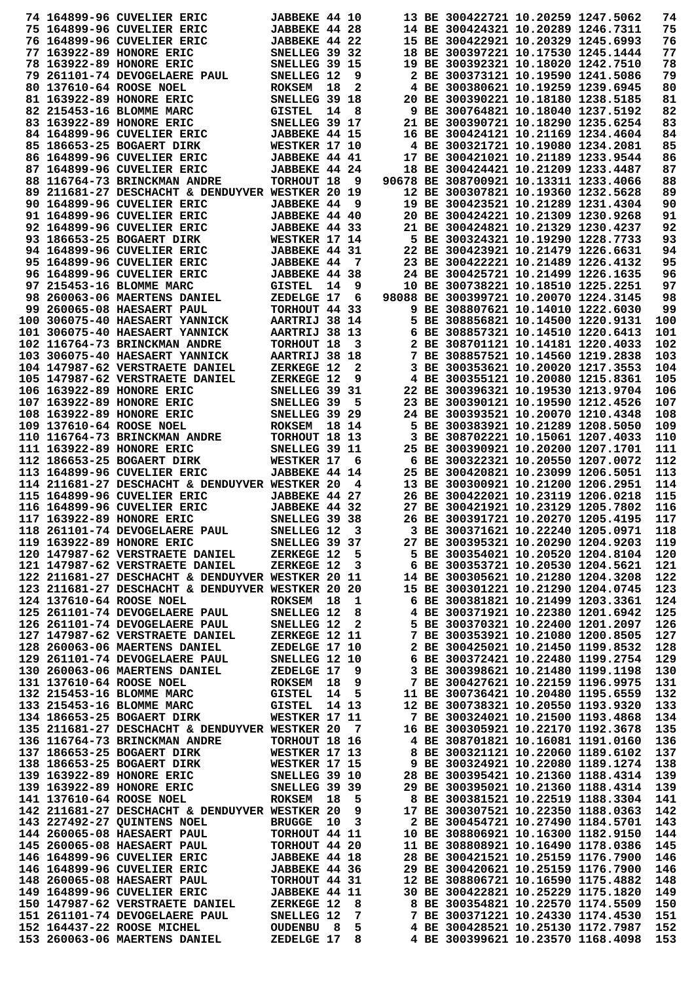|  | 74 164899-96 CUVELIER ERIC                                                                                                                                                                                                               | JABBEKE 44 10        |    |       |  | 13 BE 300422721 10.20259 1247.5062    |                                   | 74  |
|--|------------------------------------------------------------------------------------------------------------------------------------------------------------------------------------------------------------------------------------------|----------------------|----|-------|--|---------------------------------------|-----------------------------------|-----|
|  | 75 164899-96 CUVELIER ERIC                                                                                                                                                                                                               | JABBEKE 44 28        |    |       |  | 14 BE 300424321 10.20289 1246.7311    |                                   | 75  |
|  | 76 164899-96 CUVELIER ERIC                                                                                                                                                                                                               | JABBEKE 44 22        |    |       |  | 15 BE 300422921 10.20329 1245.6993    |                                   | 76  |
|  | 77 163922-89 HONORE ERIC                                                                                                                                                                                                                 | SNELLEG 39 32        |    |       |  | 18 BE 300397221 10.17530 1245.1444    |                                   | 77  |
|  | 78 163922-89 HONORE ERIC                                                                                                                                                                                                                 | SNELLEG 39 15        |    |       |  | 19 BE 300392321 10.18020 1242.7510    |                                   | 78  |
|  | 79 261101-74 DEVOGELAERE PAUL                                                                                                                                                                                                            | SNELLEG 12           |    | 9     |  | 2 BE 300373121 10.19590 1241.5086     |                                   | 79  |
|  | 80 137610-64 ROOSE NOEL                                                                                                                                                                                                                  | <b>ROKSEM</b>        | 18 | 2     |  | 4 BE 300380621 10.19259 1239.6945     |                                   | 80  |
|  | 81 163922-89 HONORE ERIC                                                                                                                                                                                                                 | SNELLEG 39 18        |    |       |  | 20 BE 300390221 10.18180 1238.5185    |                                   | 81  |
|  | 82 215453-16 BLOMME MARC                                                                                                                                                                                                                 | <b>GISTEL</b>        | 14 | - 8   |  | 9 BE 300764821 10.18040 1237.5192     |                                   | 82  |
|  |                                                                                                                                                                                                                                          |                      |    |       |  |                                       |                                   |     |
|  | 83 163922-89 HONORE ERIC                                                                                                                                                                                                                 | SNELLEG 39 17        |    |       |  | 21 BE 300390721 10.18290 1235.6254    |                                   | 83  |
|  | 84 164899-96 CUVELIER ERIC                                                                                                                                                                                                               | JABBEKE 44 15        |    |       |  | 16 BE 300424121 10.21169 1234.4604    |                                   | 84  |
|  | 85 186653-25 BOGAERT DIRK                                                                                                                                                                                                                | WESTKER 17 10        |    |       |  | 4 BE 300321721 10.19080 1234.2081     |                                   | 85  |
|  | 86 164899-96 CUVELIER ERIC                                                                                                                                                                                                               | <b>JABBEKE 44 41</b> |    |       |  | 17 BE 300421021 10.21189 1233.9544    |                                   | 86  |
|  | 87 164899-96 CUVELIER ERIC                                                                                                                                                                                                               | JABBEKE 44 24        |    |       |  | 18 BE 300424421 10.21209 1233.4487    |                                   | 87  |
|  | 88 116764-73 BRINCKMAN ANDRE                                                                                                                                                                                                             | TORHOUT 18           |    | 9     |  | 90678 BE 308700921 10.13311 1233.4066 |                                   | 88  |
|  | 89 211681-27 DESCHACHT & DENDUYVER WESTKER 20 19                                                                                                                                                                                         |                      |    |       |  | 12 BE 300307821 10.19360 1232.5628    |                                   | 89  |
|  | 90 164899-96 CUVELIER ERIC                                                                                                                                                                                                               | <b>JABBEKE 44</b>    |    | 9     |  | 19 BE 300423521 10.21289 1231.4304    |                                   | 90  |
|  | 91 164899-96 CUVELIER ERIC                                                                                                                                                                                                               | JABBEKE 44 40        |    |       |  | 20 BE 300424221 10.21309 1230.9268    |                                   | 91  |
|  | 92 164899-96 CUVELIER ERIC                                                                                                                                                                                                               | JABBEKE 44 33        |    |       |  | 21 BE 300424821 10.21329 1230.4237    |                                   | 92  |
|  | 93 186653-25 BOGAERT DIRK                                                                                                                                                                                                                | WESTKER 17 14        |    |       |  | 5 BE 300324321 10.19290 1228.7733     |                                   | 93  |
|  | 94 164899-96 CUVELIER ERIC                                                                                                                                                                                                               | JABBEKE 44 31        |    |       |  | 22 BE 300423921 10.21479 1226.6631    |                                   | 94  |
|  | 95 164899-96 CUVELIER ERIC                                                                                                                                                                                                               | <b>JABBEKE 44</b>    |    | 7     |  | 23 BE 300422221 10.21489 1226.4132    |                                   | 95  |
|  | 96 164899-96 CUVELIER ERIC                                                                                                                                                                                                               | JABBEKE 44 38        |    |       |  | 24 BE 300425721 10.21499 1226.1635    |                                   | 96  |
|  | 97 215453-16 BLOMME MARC                                                                                                                                                                                                                 | <b>GISTEL</b>        | 14 | 9     |  | 10 BE 300738221 10.18510 1225.2251    |                                   | 97  |
|  | 98 260063-06 MAERTENS DANIEL                                                                                                                                                                                                             | ZEDELGE 17           |    | 6     |  | 98088 BE 300399721 10.20070 1224.3145 |                                   | 98  |
|  | 99 260065-08 HAESAERT PAUL                                                                                                                                                                                                               | TORHOUT 44 33        |    |       |  | 9 BE 308807621 10.14010 1222.6030     |                                   | 99  |
|  | 100 306075-40 HAESAERT YANNICK                                                                                                                                                                                                           | AARTRIJ 38 14        |    |       |  | 5 BE 308856821 10.14500 1220.9131     |                                   | 100 |
|  | 101 306075-40 HAESAERT YANNICK                                                                                                                                                                                                           | AARTRIJ 38 13        |    |       |  | 6 BE 308857321 10.14510 1220.6413     |                                   | 101 |
|  | 102 116764-73 BRINCKMAN ANDRE                                                                                                                                                                                                            | TORHOUT 18           |    | 3     |  | 2 BE 308701121 10.14181 1220.4033     |                                   | 102 |
|  | 103 306075-40 HAESAERT YANNICK                                                                                                                                                                                                           | AARTRIJ 38 18        |    |       |  | 7 BE 308857521 10.14560 1219.2838     |                                   | 103 |
|  | 104 147987-62 VERSTRAETE DANIEL                                                                                                                                                                                                          | ZERKEGE 12           |    | 2     |  | 3 BE 300353621 10.20020 1217.3553     |                                   | 104 |
|  | 105 147987-62 VERSTRAETE DANIEL                                                                                                                                                                                                          | ZERKEGE 12           |    | 9     |  | 4 BE 300355121 10.20080 1215.8361     |                                   | 105 |
|  | 106 163922-89 HONORE ERIC                                                                                                                                                                                                                | SNELLEG 39 31        |    |       |  | 22 BE 300396321 10.19530 1213.9704    |                                   | 106 |
|  | 107 163922-89 HONORE ERIC                                                                                                                                                                                                                | SNELLEG 39           |    | 5     |  | 23 BE 300390121 10.19590 1212.4526    |                                   | 107 |
|  |                                                                                                                                                                                                                                          |                      |    |       |  |                                       |                                   |     |
|  | 108 163922-89 HONORE ERIC                                                                                                                                                                                                                | SNELLEG 39 29        |    |       |  | 24 BE 300393521 10.20070 1210.4348    |                                   | 108 |
|  | 109 137610-64 ROOSE NOEL                                                                                                                                                                                                                 | <b>ROKSEM</b>        |    | 18 14 |  | 5 BE 300383921 10.21289 1208.5050     |                                   | 109 |
|  | 110 116764-73 BRINCKMAN ANDRE                                                                                                                                                                                                            | TORHOUT 18 13        |    |       |  | 3 BE 308702221 10.15061 1207.4033     |                                   | 110 |
|  | 111 163922-89 HONORE ERIC                                                                                                                                                                                                                | SNELLEG 39 11        |    |       |  | 25 BE 300390921 10.20200 1207.1701    |                                   | 111 |
|  | 112 186653-25 BOGAERT DIRK                                                                                                                                                                                                               | WESTKER 17           |    | 6     |  | 6 BE 300322321 10.20550 1207.0072     |                                   | 112 |
|  | 113 164899-96 CUVELIER ERIC                                                                                                                                                                                                              | <b>JABBEKE 44 14</b> |    |       |  | 25 BE 300420821 10.23099 1206.5051    |                                   | 113 |
|  | 114 211681-27 DESCHACHT & DENDUYVER WESTKER 20                                                                                                                                                                                           |                      |    | 4     |  | 13 BE 300300921 10.21200 1206.2951    |                                   | 114 |
|  | 115 164899-96 CUVELIER ERIC                                                                                                                                                                                                              | JABBEKE 44 27        |    |       |  | 26 BE 300422021 10.23119 1206.0218    |                                   | 115 |
|  | 116 164899-96 CUVELIER ERIC                                                                                                                                                                                                              | JABBEKE 44 32        |    |       |  | 27 BE 300421921 10.23129 1205.7802    |                                   | 116 |
|  | 117 163922-89 HONORE ERIC                                                                                                                                                                                                                | SNELLEG 39 38        |    |       |  | 26 BE 300391721 10.20270 1205.4195    |                                   | 117 |
|  | 118 261101-74 DEVOGELAERE PAUL                                                                                                                                                                                                           | SNELLEG 12 3         |    |       |  | 3 BE 300371621 10.22240 1205.0971     |                                   | 118 |
|  | 119 163922-89 HONORE ERIC                                                                                                                                                                                                                | SNELLEG 39 37        |    |       |  | 27 BE 300395321 10.20290 1204.9203    |                                   | 119 |
|  |                                                                                                                                                                                                                                          |                      |    |       |  |                                       | 5 BE 300354021 10.20520 1204.8104 | 120 |
|  | 121 147987-62 VERSTRAETE DANIEL                                                                                                                                                                                                          | ZERKEGE 12           |    | 3     |  | 6 BE 300353721 10.20530 1204.5621     |                                   | 121 |
|  | 122 211681-27 DESCHACHT & DENDUYVER WESTKER 20 11                                                                                                                                                                                        |                      |    |       |  | 14 BE 300305621 10.21280 1204.3208    |                                   | 122 |
|  | 123 211681-27 DESCHACHT & DENDUYVER WESTKER 20 20                                                                                                                                                                                        |                      |    |       |  | 15 BE 300301221 10.21290 1204.0745    |                                   | 123 |
|  | 124 137610-64 ROOSE NOEL                                                                                                                                                                                                                 | ROKSEM 18 1          |    |       |  | 6 BE 300381821 10.21499 1203.3361     |                                   | 124 |
|  | 125 261101-74 DEVOGELAERE PAUL                                                                                                                                                                                                           | SNELLEG 12           |    | 8     |  | 4 BE 300371921 10.22380 1201.6942     |                                   | 125 |
|  | 126 261101-74 DEVOGELAERE PAUL                                                                                                                                                                                                           | SNELLEG 12 2         |    |       |  | 5 BE 300370321 10.22400 1201.2097     |                                   | 126 |
|  | 127 147987-62 VERSTRAETE DANIEL                                                                                                                                                                                                          | <b>ZERKEGE 12 11</b> |    |       |  | 7 BE 300353921 10.21080 1200.8505     |                                   | 127 |
|  | 128 260063-06 MAERTENS DANIEL ZEDELGE 17 10<br>129 261101-74 DEVOGELAERE PAUL SNELLEG 12 10<br>130 260063-06 MAERTENS DANIEL ZEDELGE 17 9<br>131 137610-64 ROOSE NOEL ROKSEM 18 9<br>132 215453-16 BLOMME MARC GISTEL 14 5<br>133 215453 |                      |    |       |  | 2 BE 300425021 10.21450 1199.8532     |                                   | 128 |
|  |                                                                                                                                                                                                                                          |                      |    |       |  | 6 BE 300372421 10.22480 1199.2754     |                                   | 129 |
|  |                                                                                                                                                                                                                                          |                      |    |       |  | 3 BE 300398621 10.21480 1199.1198     |                                   | 130 |
|  |                                                                                                                                                                                                                                          |                      |    |       |  | 7 BE 300427621 10.22159 1196.9975     |                                   | 131 |
|  |                                                                                                                                                                                                                                          |                      |    |       |  | 11 BE 300736421 10.20480 1195.6559    |                                   | 132 |
|  |                                                                                                                                                                                                                                          |                      |    |       |  | 12 BE 300738321 10.20550 1193.9320    |                                   | 133 |
|  | 134 186653-25 BOGAERT DIRK WESTKER 17 11                                                                                                                                                                                                 |                      |    |       |  | 7 BE 300324021 10.21500 1193.4868     |                                   | 134 |
|  |                                                                                                                                                                                                                                          |                      |    |       |  |                                       |                                   |     |
|  | 135 211681-27 DESCHACHT & DENDUYVER WESTKER 20 7                                                                                                                                                                                         |                      |    |       |  | 16 BE 300305921 10.22170 1192.3678    |                                   | 135 |
|  | 136 116764-73 BRINCKMAN ANDRE                                                                                                                                                                                                            | TORHOUT 18 16        |    |       |  | 4 BE 308701821 10.16081 1191.0160     |                                   | 136 |
|  | 137 186653-25 BOGAERT DIRK                                                                                                                                                                                                               | WESTKER 17 13        |    |       |  | 8 BE 300321121 10.22060 1189.6102     |                                   | 137 |
|  | <b>WESTKER 17 15<br/>SNELLEG 39 10</b><br>138 186653-25 BOGAERT DIRK                                                                                                                                                                     |                      |    |       |  | 9 BE 300324921 10.22080 1189.1274     |                                   | 138 |
|  | 139 163922-89 HONORE ERIC                                                                                                                                                                                                                |                      |    |       |  | 28 BE 300395421 10.21360 1188.4314    |                                   | 139 |
|  | <b>SNELLEG 39 39<br/>ROKSEM 18 5</b><br>139 163922-89 HONORE ERIC                                                                                                                                                                        |                      |    |       |  | 29 BE 300395021 10.21360 1188.4314    |                                   | 139 |
|  | 141 137610-64 ROOSE NOEL                                                                                                                                                                                                                 |                      |    |       |  | 8 BE 300381521 10.22519 1188.3304     |                                   | 141 |
|  | 142 211681-27 DESCHACHT & DENDUYVER WESTKER 20                                                                                                                                                                                           |                      |    | 9     |  | 17 BE 300307521 10.22350 1188.0363    |                                   | 142 |
|  | 143 227492-27 QUINTENS NOEL                                                                                                                                                                                                              | <b>BRUGGE 10</b>     |    | 3     |  | 2 BE 300454721 10.27490 1184.5701     |                                   | 143 |
|  | 144 260065-08 HAESAERT PAUL                                                                                                                                                                                                              | TORHOUT 44 11        |    |       |  | 10 BE 308806921 10.16300 1182.9150    |                                   | 144 |
|  | 145 260065-08 HAESAERT PAUL                                                                                                                                                                                                              | TORHOUT 44 20        |    |       |  | 11 BE 308808921 10.16490 1178.0386    |                                   | 145 |
|  | 146 164899-96 CUVELIER ERIC                                                                                                                                                                                                              | <b>JABBEKE 44 18</b> |    |       |  | 28 BE 300421521 10.25159 1176.7900    |                                   | 146 |
|  | 146 164899-96 CUVELIER ERIC                                                                                                                                                                                                              | <b>JABBEKE 44 36</b> |    |       |  | 29 BE 300420621 10.25159 1176.7900    |                                   | 146 |
|  | 148 260065-08 HAESAERT PAUL                                                                                                                                                                                                              | TORHOUT 44 31        |    |       |  | 12 BE 308806721 10.16590 1175.4882    |                                   | 148 |
|  |                                                                                                                                                                                                                                          |                      |    |       |  | 30 BE 300422821 10.25229 1175.1820    |                                   | 149 |
|  | 149 164899-96 CUVELIER ERIC       JABBEKE 44 11<br>150 147987-62 VERSTRAETE DANIEL     ZERKEGE 12 8                                                                                                                                      |                      |    |       |  | 8 BE 300354821 10.22570 1174.5509     |                                   | 150 |
|  | 151 261101-74 DEVOGELAERE PAUL                                                                                                                                                                                                           | SNELLEG 12           |    | 7     |  | 7 BE 300371221 10.24330 1174.4530     |                                   | 151 |
|  | 152 164437-22 ROOSE MICHEL                                                                                                                                                                                                               | <b>OUDENBU 8</b>     |    | 5     |  | 4 BE 300428521 10.25130 1172.7987     |                                   | 152 |
|  | 153  260063-06  MAERTENS  DANIEL                                                                                                                                                                                                         | ZEDELGE 17 8         |    |       |  | 4 BE 300399621 10.23570 1168.4098     |                                   | 153 |
|  |                                                                                                                                                                                                                                          |                      |    |       |  |                                       |                                   |     |